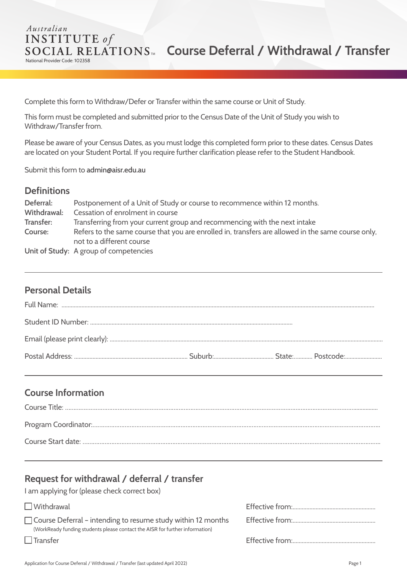#### Australian **INSTITUTE** of **SOCIAL RELATIONS<sup>®</sup> Course Deferral / Withdrawal / Transfer** National Provider Code: 102358

Complete this form to Withdraw/Defer or Transfer within the same course or Unit of Study.

This form must be completed and submitted prior to the Census Date of the Unit of Study you wish to Withdraw/Transfer from.

Please be aware of your Census Dates, as you must lodge this completed form prior to these dates. Census Dates are located on your Student Portal. If you require further clarification please refer to the Student Handbook.

Submit this form to **admin@aisr.edu.au**

#### **Definitions**

| Deferral:   | Postponement of a Unit of Study or course to recommence within 12 months.                          |
|-------------|----------------------------------------------------------------------------------------------------|
| Withdrawal: | Cessation of enrolment in course                                                                   |
| Transfer:   | Transferring from your current group and recommencing with the next intake                         |
| Course:     | Refers to the same course that you are enrolled in, transfers are allowed in the same course only, |
|             | not to a different course                                                                          |
|             | Unit of Study: A group of competencies                                                             |

## **Personal Details**

## **Course Information**

# **Request for withdrawal / deferral / transfer**

I am applying for (please check correct box)

| $\Box$ Withdrawal                                                                                                                                   |  |
|-----------------------------------------------------------------------------------------------------------------------------------------------------|--|
| $\Box$ Course Deferral – intending to resume study within 12 months<br>(WorkReady funding students please contact the AISR for further information) |  |
| $\Box$ Transfer                                                                                                                                     |  |